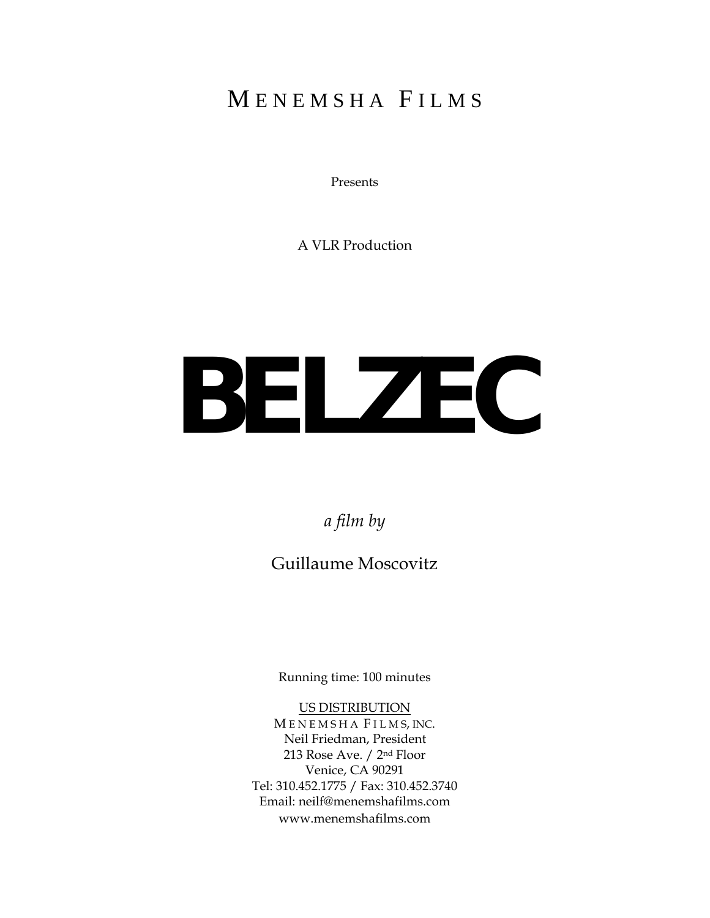### MENEMSHA FILMS

Presents

A VLR Production

# **BELZEC**

*a film by*

Guillaume Moscovitz

Running time: 100 minutes

#### US DISTRIBUTION

M E N E M S H A F I L M S, INC. Neil Friedman, President 213 Rose Ave. / 2nd Floor Venice, CA 90291 Tel: 310.452.1775 / Fax: 310.452.3740 Email: neilf@menemshafilms.com www.menemshafilms.com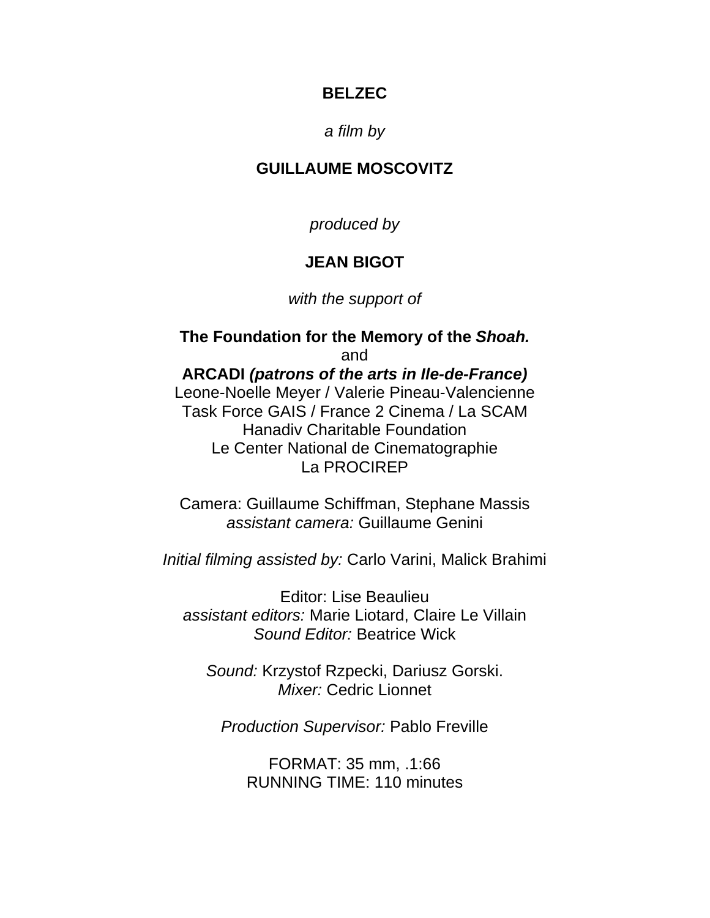#### *a film by*

#### **GUILLAUME MOSCOVITZ**

*produced by* 

#### **JEAN BIGOT**

*with the support of* 

**The Foundation for the Memory of the** *Shoah.*  and **ARCADI** *(patrons of the arts in Ile-de-France)*  Leone-Noelle Meyer / Valerie Pineau-Valencienne Task Force GAIS / France 2 Cinema / La SCAM Hanadiv Charitable Foundation Le Center National de Cinematographie La PROCIREP

Camera: Guillaume Schiffman, Stephane Massis *assistant camera:* Guillaume Genini

*Initial filming assisted by:* Carlo Varini, Malick Brahimi

Editor: Lise Beaulieu *assistant editors:* Marie Liotard, Claire Le Villain *Sound Editor:* Beatrice Wick

*Sound:* Krzystof Rzpecki, Dariusz Gorski. *Mixer:* Cedric Lionnet

*Production Supervisor:* Pablo Freville

FORMAT: 35 mm, .1:66 RUNNING TIME: 110 minutes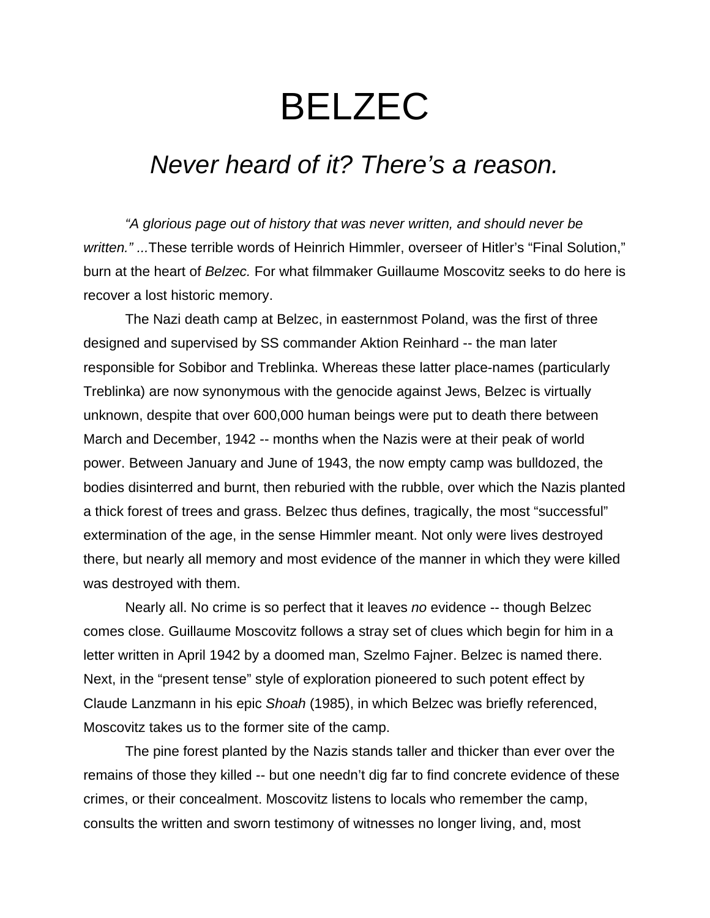## *Never heard of it? There's a reason.*

 *"A glorious page out of history that was never written, and should never be written." ...*These terrible words of Heinrich Himmler, overseer of Hitler's "Final Solution," burn at the heart of *Belzec.* For what filmmaker Guillaume Moscovitz seeks to do here is recover a lost historic memory.

 The Nazi death camp at Belzec, in easternmost Poland, was the first of three designed and supervised by SS commander Aktion Reinhard -- the man later responsible for Sobibor and Treblinka. Whereas these latter place-names (particularly Treblinka) are now synonymous with the genocide against Jews, Belzec is virtually unknown, despite that over 600,000 human beings were put to death there between March and December, 1942 -- months when the Nazis were at their peak of world power. Between January and June of 1943, the now empty camp was bulldozed, the bodies disinterred and burnt, then reburied with the rubble, over which the Nazis planted a thick forest of trees and grass. Belzec thus defines, tragically, the most "successful" extermination of the age, in the sense Himmler meant. Not only were lives destroyed there, but nearly all memory and most evidence of the manner in which they were killed was destroyed with them.

 Nearly all. No crime is so perfect that it leaves *no* evidence -- though Belzec comes close. Guillaume Moscovitz follows a stray set of clues which begin for him in a letter written in April 1942 by a doomed man, Szelmo Fajner. Belzec is named there. Next, in the "present tense" style of exploration pioneered to such potent effect by Claude Lanzmann in his epic *Shoah* (1985), in which Belzec was briefly referenced, Moscovitz takes us to the former site of the camp.

 The pine forest planted by the Nazis stands taller and thicker than ever over the remains of those they killed -- but one needn't dig far to find concrete evidence of these crimes, or their concealment. Moscovitz listens to locals who remember the camp, consults the written and sworn testimony of witnesses no longer living, and, most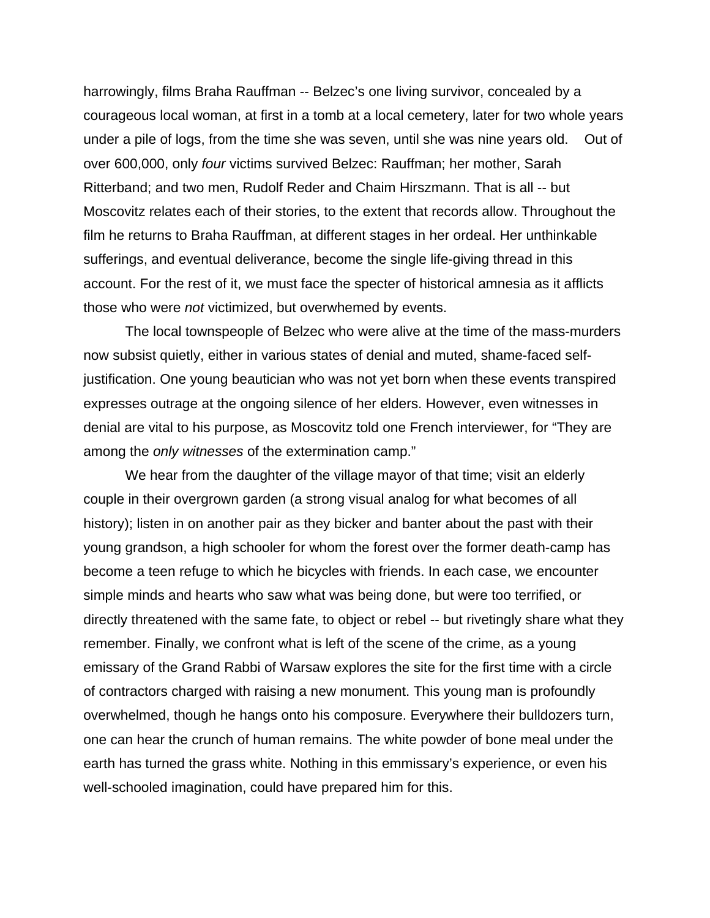harrowingly, films Braha Rauffman -- Belzec's one living survivor, concealed by a courageous local woman, at first in a tomb at a local cemetery, later for two whole years under a pile of logs, from the time she was seven, until she was nine years old. Out of over 600,000, only *four* victims survived Belzec: Rauffman; her mother, Sarah Ritterband; and two men, Rudolf Reder and Chaim Hirszmann. That is all -- but Moscovitz relates each of their stories, to the extent that records allow. Throughout the film he returns to Braha Rauffman, at different stages in her ordeal. Her unthinkable sufferings, and eventual deliverance, become the single life-giving thread in this account. For the rest of it, we must face the specter of historical amnesia as it afflicts those who were *not* victimized, but overwhemed by events.

 The local townspeople of Belzec who were alive at the time of the mass-murders now subsist quietly, either in various states of denial and muted, shame-faced selfjustification. One young beautician who was not yet born when these events transpired expresses outrage at the ongoing silence of her elders. However, even witnesses in denial are vital to his purpose, as Moscovitz told one French interviewer, for "They are among the *only witnesses* of the extermination camp."

 We hear from the daughter of the village mayor of that time; visit an elderly couple in their overgrown garden (a strong visual analog for what becomes of all history); listen in on another pair as they bicker and banter about the past with their young grandson, a high schooler for whom the forest over the former death-camp has become a teen refuge to which he bicycles with friends. In each case, we encounter simple minds and hearts who saw what was being done, but were too terrified, or directly threatened with the same fate, to object or rebel -- but rivetingly share what they remember. Finally, we confront what is left of the scene of the crime, as a young emissary of the Grand Rabbi of Warsaw explores the site for the first time with a circle of contractors charged with raising a new monument. This young man is profoundly overwhelmed, though he hangs onto his composure. Everywhere their bulldozers turn, one can hear the crunch of human remains. The white powder of bone meal under the earth has turned the grass white. Nothing in this emmissary's experience, or even his well-schooled imagination, could have prepared him for this.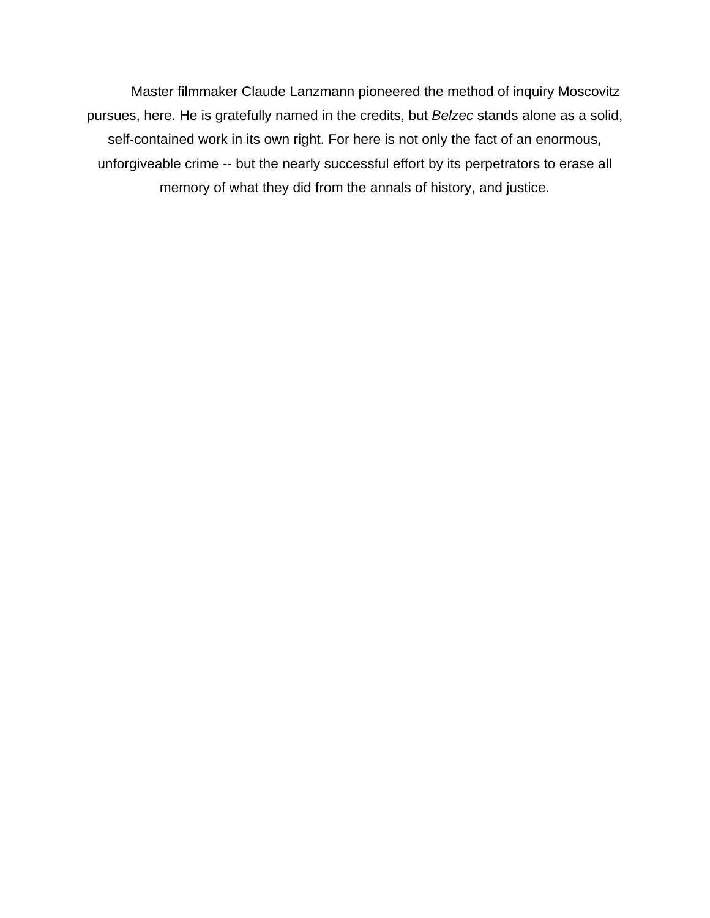Master filmmaker Claude Lanzmann pioneered the method of inquiry Moscovitz pursues, here. He is gratefully named in the credits, but *Belzec* stands alone as a solid, self-contained work in its own right. For here is not only the fact of an enormous, unforgiveable crime -- but the nearly successful effort by its perpetrators to erase all memory of what they did from the annals of history, and justice.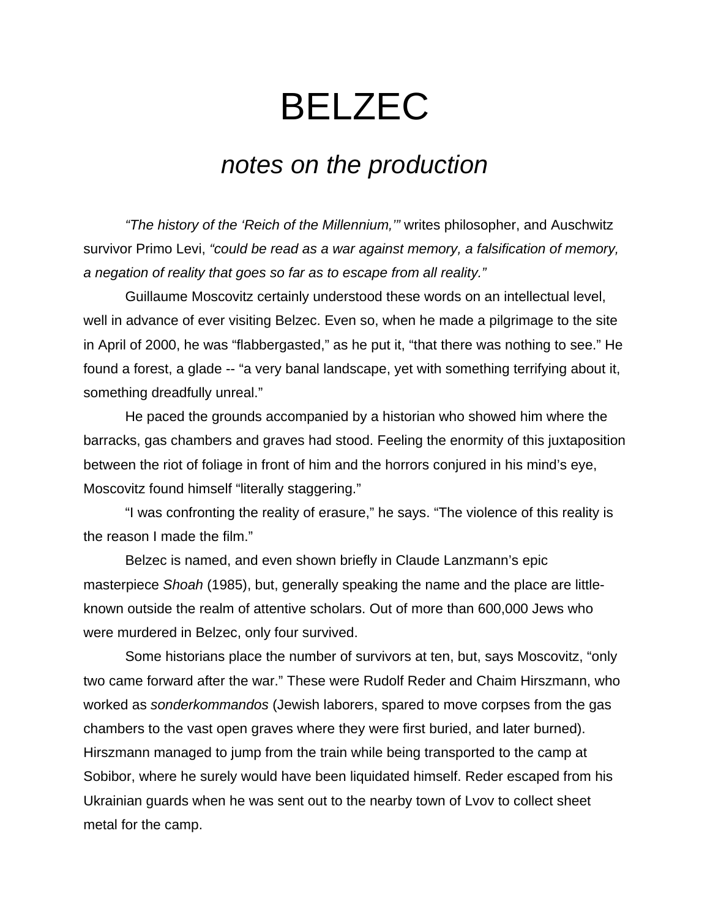## *notes on the production*

 *"The history of the 'Reich of the Millennium,'"* writes philosopher, and Auschwitz survivor Primo Levi, *"could be read as a war against memory, a falsification of memory, a negation of reality that goes so far as to escape from all reality."* 

Guillaume Moscovitz certainly understood these words on an intellectual level, well in advance of ever visiting Belzec. Even so, when he made a pilgrimage to the site in April of 2000, he was "flabbergasted," as he put it, "that there was nothing to see." He found a forest, a glade -- "a very banal landscape, yet with something terrifying about it, something dreadfully unreal."

 He paced the grounds accompanied by a historian who showed him where the barracks, gas chambers and graves had stood. Feeling the enormity of this juxtaposition between the riot of foliage in front of him and the horrors conjured in his mind's eye, Moscovitz found himself "literally staggering."

 "I was confronting the reality of erasure," he says. "The violence of this reality is the reason I made the film."

 Belzec is named, and even shown briefly in Claude Lanzmann's epic masterpiece *Shoah* (1985), but, generally speaking the name and the place are littleknown outside the realm of attentive scholars. Out of more than 600,000 Jews who were murdered in Belzec, only four survived.

 Some historians place the number of survivors at ten, but, says Moscovitz, "only two came forward after the war." These were Rudolf Reder and Chaim Hirszmann, who worked as *sonderkommandos* (Jewish laborers, spared to move corpses from the gas chambers to the vast open graves where they were first buried, and later burned). Hirszmann managed to jump from the train while being transported to the camp at Sobibor, where he surely would have been liquidated himself. Reder escaped from his Ukrainian guards when he was sent out to the nearby town of Lvov to collect sheet metal for the camp.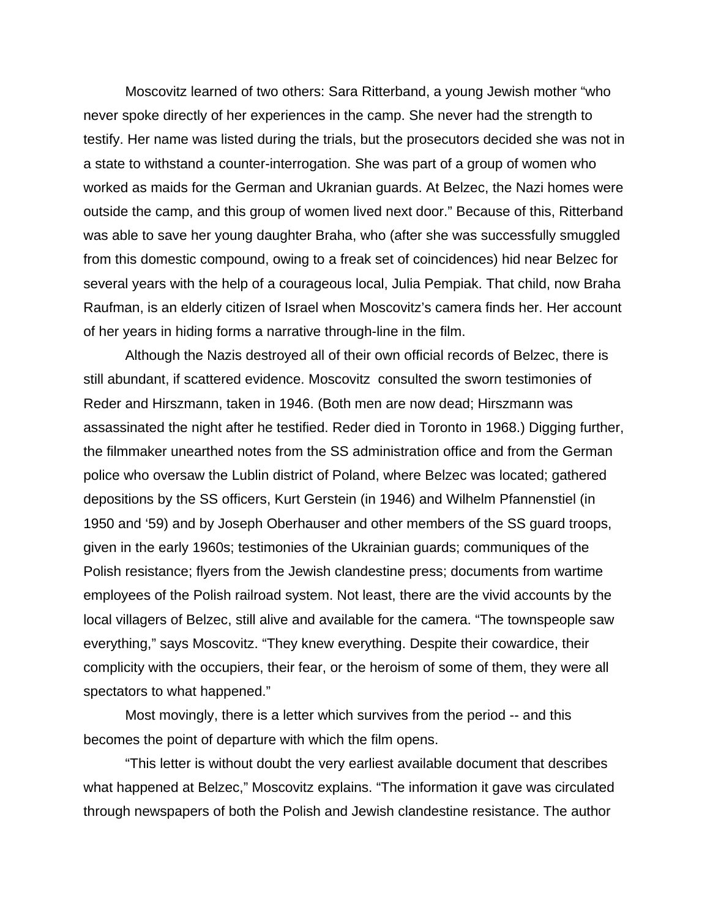Moscovitz learned of two others: Sara Ritterband, a young Jewish mother "who never spoke directly of her experiences in the camp. She never had the strength to testify. Her name was listed during the trials, but the prosecutors decided she was not in a state to withstand a counter-interrogation. She was part of a group of women who worked as maids for the German and Ukranian guards. At Belzec, the Nazi homes were outside the camp, and this group of women lived next door." Because of this, Ritterband was able to save her young daughter Braha, who (after she was successfully smuggled from this domestic compound, owing to a freak set of coincidences) hid near Belzec for several years with the help of a courageous local, Julia Pempiak. That child, now Braha Raufman, is an elderly citizen of Israel when Moscovitz's camera finds her. Her account of her years in hiding forms a narrative through-line in the film.

 Although the Nazis destroyed all of their own official records of Belzec, there is still abundant, if scattered evidence. Moscovitz consulted the sworn testimonies of Reder and Hirszmann, taken in 1946. (Both men are now dead; Hirszmann was assassinated the night after he testified. Reder died in Toronto in 1968.) Digging further, the filmmaker unearthed notes from the SS administration office and from the German police who oversaw the Lublin district of Poland, where Belzec was located; gathered depositions by the SS officers, Kurt Gerstein (in 1946) and Wilhelm Pfannenstiel (in 1950 and '59) and by Joseph Oberhauser and other members of the SS guard troops, given in the early 1960s; testimonies of the Ukrainian guards; communiques of the Polish resistance; flyers from the Jewish clandestine press; documents from wartime employees of the Polish railroad system. Not least, there are the vivid accounts by the local villagers of Belzec, still alive and available for the camera. "The townspeople saw everything," says Moscovitz. "They knew everything. Despite their cowardice, their complicity with the occupiers, their fear, or the heroism of some of them, they were all spectators to what happened."

 Most movingly, there is a letter which survives from the period -- and this becomes the point of departure with which the film opens.

 "This letter is without doubt the very earliest available document that describes what happened at Belzec," Moscovitz explains. "The information it gave was circulated through newspapers of both the Polish and Jewish clandestine resistance. The author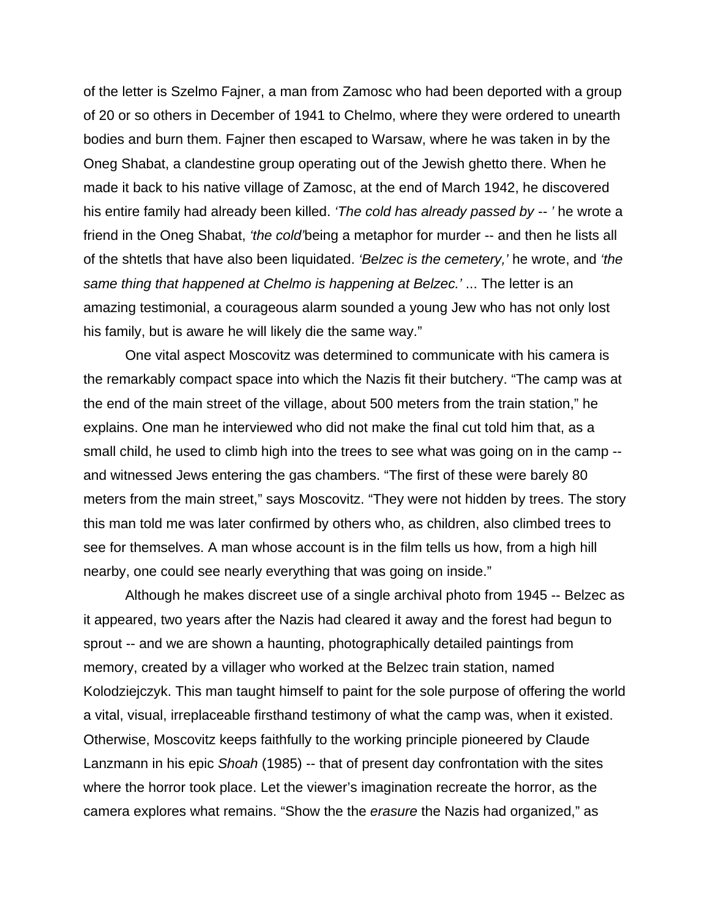of the letter is Szelmo Fajner, a man from Zamosc who had been deported with a group of 20 or so others in December of 1941 to Chelmo, where they were ordered to unearth bodies and burn them. Fajner then escaped to Warsaw, where he was taken in by the Oneg Shabat, a clandestine group operating out of the Jewish ghetto there. When he made it back to his native village of Zamosc, at the end of March 1942, he discovered his entire family had already been killed. *'The cold has already passed by -- '* he wrote a friend in the Oneg Shabat, *'the cold'*being a metaphor for murder -- and then he lists all of the shtetls that have also been liquidated. *'Belzec is the cemetery,'* he wrote, and *'the same thing that happened at Chelmo is happening at Belzec.'* ... The letter is an amazing testimonial, a courageous alarm sounded a young Jew who has not only lost his family, but is aware he will likely die the same way."

 One vital aspect Moscovitz was determined to communicate with his camera is the remarkably compact space into which the Nazis fit their butchery. "The camp was at the end of the main street of the village, about 500 meters from the train station," he explains. One man he interviewed who did not make the final cut told him that, as a small child, he used to climb high into the trees to see what was going on in the camp - and witnessed Jews entering the gas chambers. "The first of these were barely 80 meters from the main street," says Moscovitz. "They were not hidden by trees. The story this man told me was later confirmed by others who, as children, also climbed trees to see for themselves. A man whose account is in the film tells us how, from a high hill nearby, one could see nearly everything that was going on inside."

 Although he makes discreet use of a single archival photo from 1945 -- Belzec as it appeared, two years after the Nazis had cleared it away and the forest had begun to sprout -- and we are shown a haunting, photographically detailed paintings from memory, created by a villager who worked at the Belzec train station, named Kolodziejczyk. This man taught himself to paint for the sole purpose of offering the world a vital, visual, irreplaceable firsthand testimony of what the camp was, when it existed. Otherwise, Moscovitz keeps faithfully to the working principle pioneered by Claude Lanzmann in his epic *Shoah* (1985) -- that of present day confrontation with the sites where the horror took place. Let the viewer's imagination recreate the horror, as the camera explores what remains. "Show the the *erasure* the Nazis had organized," as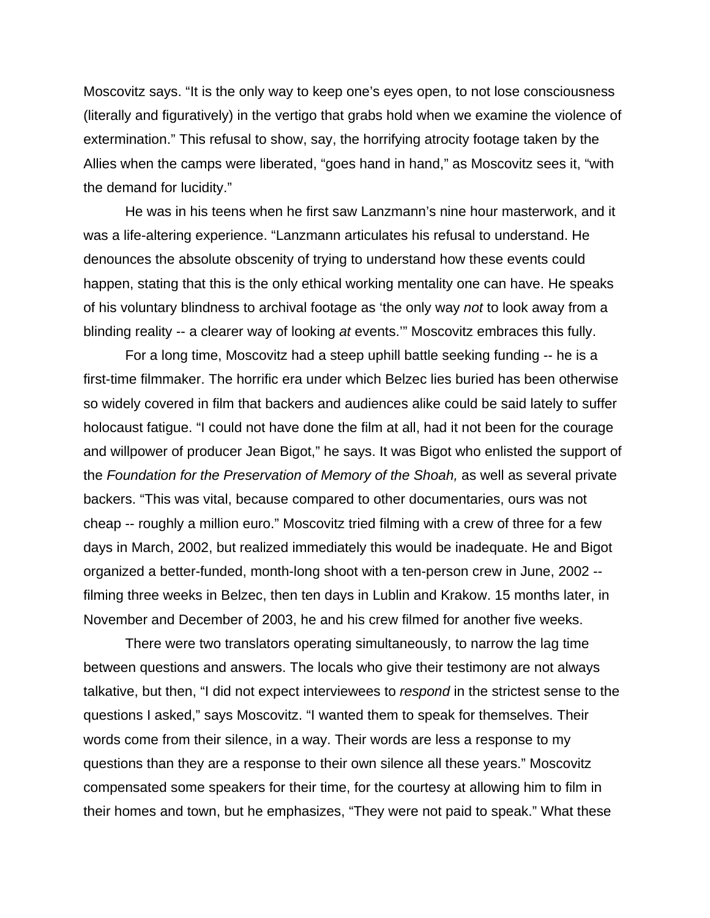Moscovitz says. "It is the only way to keep one's eyes open, to not lose consciousness (literally and figuratively) in the vertigo that grabs hold when we examine the violence of extermination." This refusal to show, say, the horrifying atrocity footage taken by the Allies when the camps were liberated, "goes hand in hand," as Moscovitz sees it, "with the demand for lucidity."

 He was in his teens when he first saw Lanzmann's nine hour masterwork, and it was a life-altering experience. "Lanzmann articulates his refusal to understand. He denounces the absolute obscenity of trying to understand how these events could happen, stating that this is the only ethical working mentality one can have. He speaks of his voluntary blindness to archival footage as 'the only way *not* to look away from a blinding reality -- a clearer way of looking *at* events.'" Moscovitz embraces this fully.

 For a long time, Moscovitz had a steep uphill battle seeking funding -- he is a first-time filmmaker. The horrific era under which Belzec lies buried has been otherwise so widely covered in film that backers and audiences alike could be said lately to suffer holocaust fatigue. "I could not have done the film at all, had it not been for the courage and willpower of producer Jean Bigot," he says. It was Bigot who enlisted the support of the *Foundation for the Preservation of Memory of the Shoah,* as well as several private backers. "This was vital, because compared to other documentaries, ours was not cheap -- roughly a million euro." Moscovitz tried filming with a crew of three for a few days in March, 2002, but realized immediately this would be inadequate. He and Bigot organized a better-funded, month-long shoot with a ten-person crew in June, 2002 - filming three weeks in Belzec, then ten days in Lublin and Krakow. 15 months later, in November and December of 2003, he and his crew filmed for another five weeks.

 There were two translators operating simultaneously, to narrow the lag time between questions and answers. The locals who give their testimony are not always talkative, but then, "I did not expect interviewees to *respond* in the strictest sense to the questions I asked," says Moscovitz. "I wanted them to speak for themselves. Their words come from their silence, in a way. Their words are less a response to my questions than they are a response to their own silence all these years." Moscovitz compensated some speakers for their time, for the courtesy at allowing him to film in their homes and town, but he emphasizes, "They were not paid to speak." What these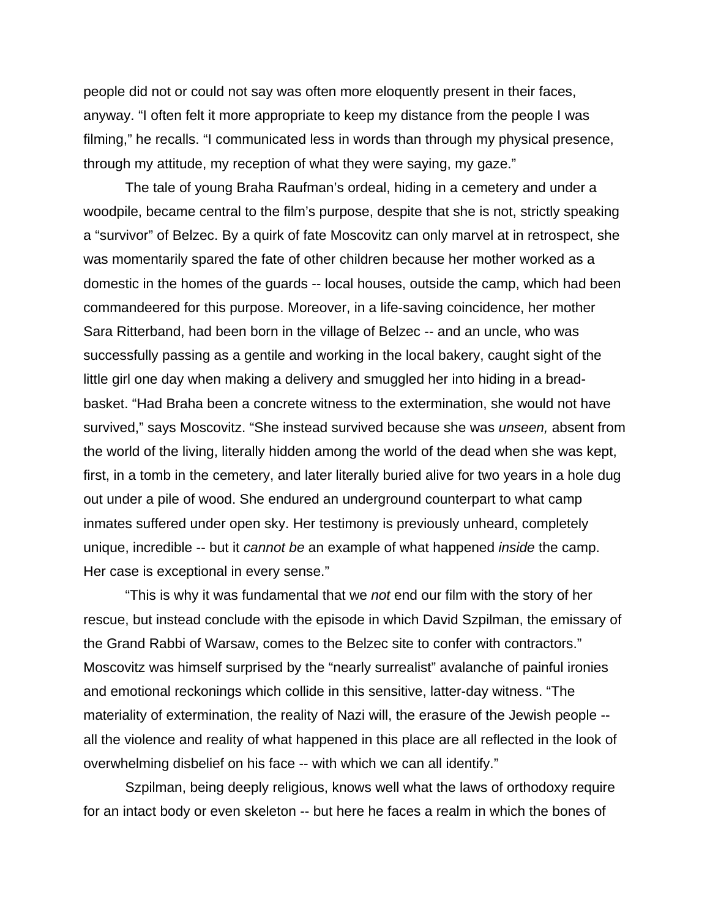people did not or could not say was often more eloquently present in their faces, anyway. "I often felt it more appropriate to keep my distance from the people I was filming," he recalls. "I communicated less in words than through my physical presence, through my attitude, my reception of what they were saying, my gaze."

 The tale of young Braha Raufman's ordeal, hiding in a cemetery and under a woodpile, became central to the film's purpose, despite that she is not, strictly speaking a "survivor" of Belzec. By a quirk of fate Moscovitz can only marvel at in retrospect, she was momentarily spared the fate of other children because her mother worked as a domestic in the homes of the guards -- local houses, outside the camp, which had been commandeered for this purpose. Moreover, in a life-saving coincidence, her mother Sara Ritterband, had been born in the village of Belzec -- and an uncle, who was successfully passing as a gentile and working in the local bakery, caught sight of the little girl one day when making a delivery and smuggled her into hiding in a breadbasket. "Had Braha been a concrete witness to the extermination, she would not have survived," says Moscovitz. "She instead survived because she was *unseen,* absent from the world of the living, literally hidden among the world of the dead when she was kept, first, in a tomb in the cemetery, and later literally buried alive for two years in a hole dug out under a pile of wood. She endured an underground counterpart to what camp inmates suffered under open sky. Her testimony is previously unheard, completely unique, incredible -- but it *cannot be* an example of what happened *inside* the camp. Her case is exceptional in every sense."

 "This is why it was fundamental that we *not* end our film with the story of her rescue, but instead conclude with the episode in which David Szpilman, the emissary of the Grand Rabbi of Warsaw, comes to the Belzec site to confer with contractors." Moscovitz was himself surprised by the "nearly surrealist" avalanche of painful ironies and emotional reckonings which collide in this sensitive, latter-day witness. "The materiality of extermination, the reality of Nazi will, the erasure of the Jewish people - all the violence and reality of what happened in this place are all reflected in the look of overwhelming disbelief on his face -- with which we can all identify."

 Szpilman, being deeply religious, knows well what the laws of orthodoxy require for an intact body or even skeleton -- but here he faces a realm in which the bones of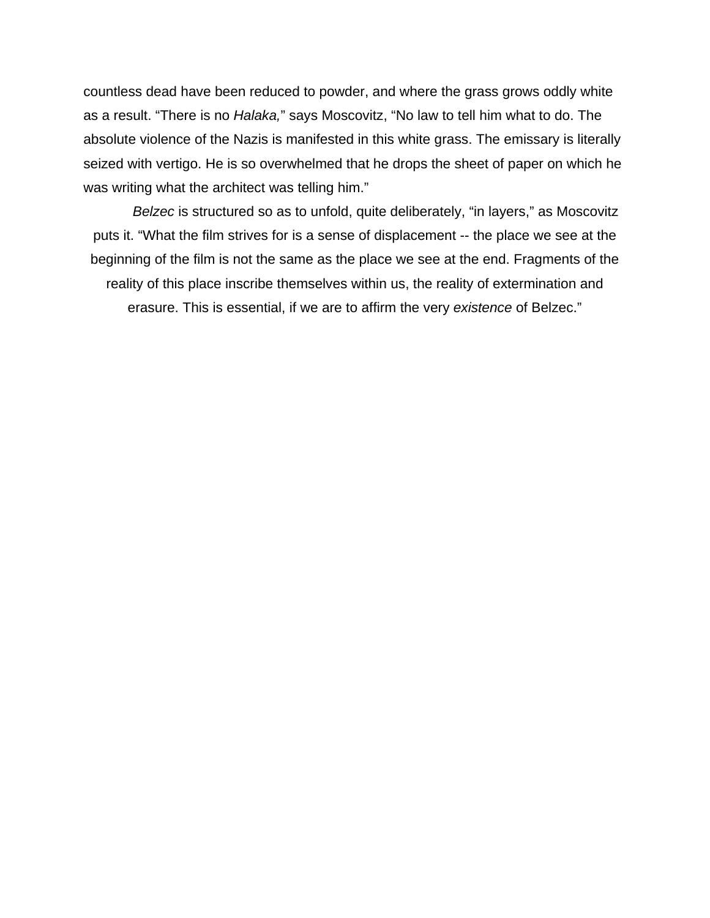countless dead have been reduced to powder, and where the grass grows oddly white as a result. "There is no *Halaka,*" says Moscovitz, "No law to tell him what to do. The absolute violence of the Nazis is manifested in this white grass. The emissary is literally seized with vertigo. He is so overwhelmed that he drops the sheet of paper on which he was writing what the architect was telling him."

*Belzec* is structured so as to unfold, quite deliberately, "in layers," as Moscovitz puts it. "What the film strives for is a sense of displacement -- the place we see at the beginning of the film is not the same as the place we see at the end. Fragments of the reality of this place inscribe themselves within us, the reality of extermination and erasure. This is essential, if we are to affirm the very *existence* of Belzec."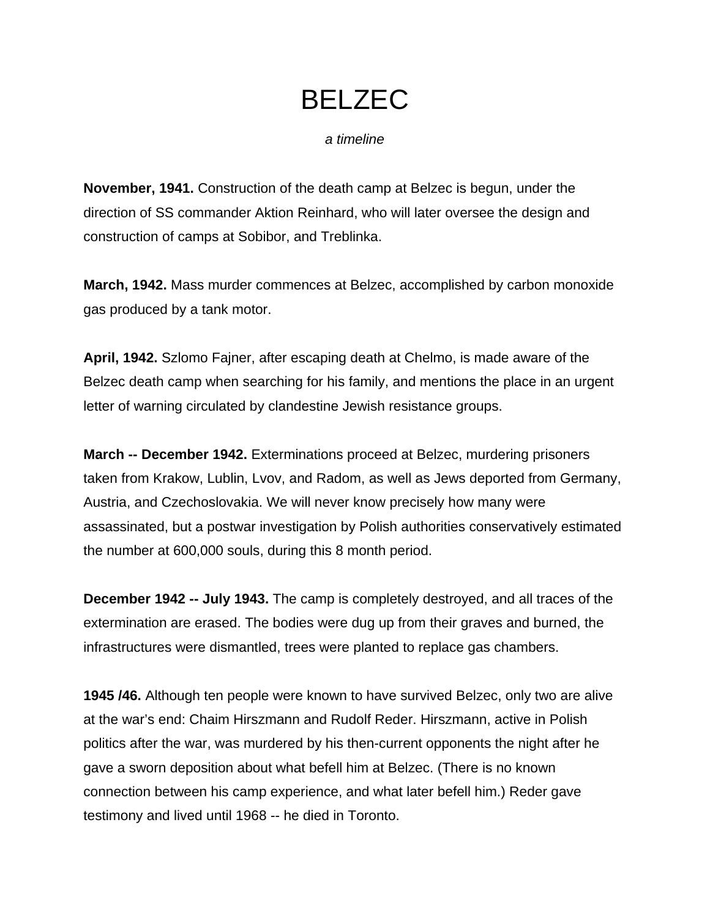*a timeline* 

**November, 1941.** Construction of the death camp at Belzec is begun, under the direction of SS commander Aktion Reinhard, who will later oversee the design and construction of camps at Sobibor, and Treblinka.

**March, 1942.** Mass murder commences at Belzec, accomplished by carbon monoxide gas produced by a tank motor.

**April, 1942.** Szlomo Fajner, after escaping death at Chelmo, is made aware of the Belzec death camp when searching for his family, and mentions the place in an urgent letter of warning circulated by clandestine Jewish resistance groups.

**March -- December 1942.** Exterminations proceed at Belzec, murdering prisoners taken from Krakow, Lublin, Lvov, and Radom, as well as Jews deported from Germany, Austria, and Czechoslovakia. We will never know precisely how many were assassinated, but a postwar investigation by Polish authorities conservatively estimated the number at 600,000 souls, during this 8 month period.

**December 1942 -- July 1943.** The camp is completely destroyed, and all traces of the extermination are erased. The bodies were dug up from their graves and burned, the infrastructures were dismantled, trees were planted to replace gas chambers.

**1945 /46.** Although ten people were known to have survived Belzec, only two are alive at the war's end: Chaim Hirszmann and Rudolf Reder. Hirszmann, active in Polish politics after the war, was murdered by his then-current opponents the night after he gave a sworn deposition about what befell him at Belzec. (There is no known connection between his camp experience, and what later befell him.) Reder gave testimony and lived until 1968 -- he died in Toronto.